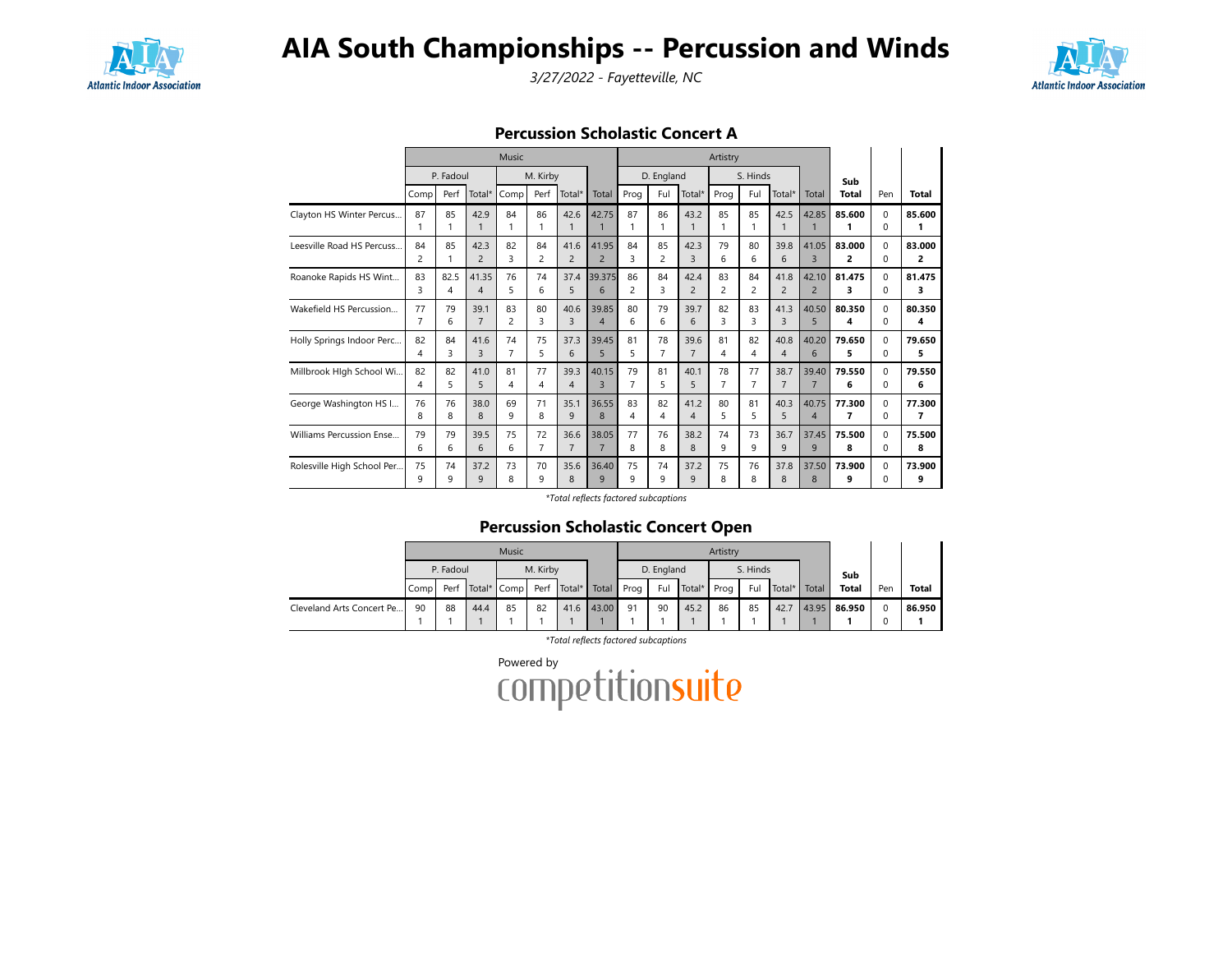

3/27/2022 - Fayetteville, NC



Percussion Scholastic Concert A

|                            |                      |           |                        | Music                         |                      |                        |                         |                               |                      |                        | Artistry |                |                |                         |             |                      |              |
|----------------------------|----------------------|-----------|------------------------|-------------------------------|----------------------|------------------------|-------------------------|-------------------------------|----------------------|------------------------|----------|----------------|----------------|-------------------------|-------------|----------------------|--------------|
|                            |                      | P. Fadoul |                        |                               | M. Kirby             |                        |                         |                               | D. England           |                        |          | S. Hinds       |                |                         | Sub         |                      |              |
|                            | Comp                 | Perf      | Total*                 | Comp                          | Perf                 | Total*                 | Total                   | Prog                          | Ful                  | Total*                 | Prog     | Ful            | Total*         | Total                   | Total       | Pen                  | <b>Total</b> |
| Clayton HS Winter Percus   | 87                   | 85        | 42.9<br>$\mathbf{1}$   | 84<br>1                       | 86<br>1              | 42.6                   | 42.75<br>$\mathbf{1}$   | 87<br>1                       | 86<br>1              | 43.2<br>$\mathbf{1}$   | 85       | 85             | 42.5           | 42.85                   | 85.600<br>1 | $\Omega$<br>$\Omega$ | 85.600<br>1  |
| Leesville Road HS Percuss  | 84<br>$\overline{c}$ | 85        | 42.3<br>$\overline{c}$ | 82<br>$\overline{\mathbf{3}}$ | 84<br>$\overline{2}$ | 41.6<br>$\overline{c}$ | 41.95<br>$\overline{2}$ | 84<br>$\overline{\mathbf{3}}$ | 85<br>$\overline{2}$ | 42.3<br>$\overline{3}$ | 79<br>6  | 80<br>6        | 39.8<br>6      | 41.05<br>$\overline{3}$ | 83.000<br>2 | $\Omega$<br>$\Omega$ | 83.000<br>2  |
| Roanoke Rapids HS Wint     | 83                   | 82.5      | 41.35                  | 76                            | 74                   | 37.4                   | 39.375                  | 86                            | 84                   | 42.4                   | 83       | 84             | 41.8           | 42.10                   | 81.475      | $\Omega$             | 81.475       |
|                            | 3                    | 4         | $\overline{4}$         | 5                             | 6                    | 5                      | 6                       | $\overline{c}$                | 3                    | $\overline{2}$         | 2        | $\overline{c}$ | $\overline{c}$ | $\overline{2}$          | 3           | $\Omega$             | 3            |
| Wakefield HS Percussion    | 77                   | 79        | 39.1                   | 83                            | 80                   | 40.6                   | 39.85                   | 80                            | 79                   | 39.7                   | 82       | 83             | 41.3           | 40.50                   | 80.350      | $\Omega$             | 80.350       |
|                            | $\overline{7}$       | 6         | $\overline{7}$         | $\overline{c}$                | 3                    | $\overline{3}$         | $\overline{4}$          | 6                             | 6                    | 6                      | 3        | 3              | 3              | 5                       | 4           | $\Omega$             | 4            |
| Holly Springs Indoor Perc  | 82                   | 84        | 41.6                   | 74                            | 75                   | 37.3                   | 39.45                   | 81                            | 78                   | 39.6                   | 81       | 82             | 40.8           | 40.20                   | 79.650      | $\Omega$             | 79.650       |
|                            | 4                    | 3         | $\overline{3}$         | $\overline{7}$                | 5                    | 6                      | 5                       | 5                             | 7                    | $\overline{7}$         | 4        | 4              | 4              | 6                       | 5           | $\Omega$             | 5            |
| Millbrook Hlgh School Wi   | 82                   | 82        | 41.0                   | 81                            | 77                   | 39.3                   | 40.15                   | 79                            | 81                   | 40.1                   | 78       | 77             | 38.7           | 39.40                   | 79.550      | $\Omega$             | 79.550       |
|                            | 4                    | 5         | 5                      | 4                             | 4                    | $\overline{4}$         | $\overline{3}$          | 7                             | 5                    | 5                      | 7        | $\overline{7}$ | $\overline{7}$ | $\overline{7}$          | 6           | $\Omega$             | 6            |
| George Washington HS I     | 76                   | 76        | 38.0                   | 69                            | 71                   | 35.1                   | 36.55                   | 83                            | 82                   | 41.2                   | 80       | 81             | 40.3           | 40.75                   | 77.300      | $\Omega$             | 77.300       |
|                            | 8                    | 8         | 8                      | $\mathsf{Q}$                  | 8                    | 9                      | 8                       | $\overline{\mathbf{A}}$       | 4                    | $\overline{4}$         | 5        | 5              | 5.             | $\overline{4}$          | 7           | $\Omega$             | 7            |
| Williams Percussion Ense   | 79                   | 79        | 39.5                   | 75                            | 72                   | 36.6                   | 38.05                   | 77                            | 76                   | 38.2                   | 74       | 73             | 36.7           | 37.45                   | 75.500      | $\Omega$             | 75.500       |
|                            | 6                    | 6         | 6                      | 6                             | 7                    | $\overline{7}$         | $\overline{7}$          | 8                             | 8                    | 8                      | q        | $\mathsf{Q}$   | 9              | 9                       | 8           | $\Omega$             | 8            |
| Rolesville High School Per | 75                   | 74        | 37.2                   | 73                            | 70                   | 35.6                   | 36.40                   | 75                            | 74                   | 37.2                   | 75       | 76             | 37.8           | 37.50                   | 73.900      | $\Omega$             | 73.900       |
|                            | 9                    | 9         | 9                      | 8                             | 9                    | 8                      | 9                       | 9                             | 9                    | 9                      | 8        | 8              | 8              | 8                       | 9           | $\Omega$             | 9            |

\*Total reflects factored subcaptions

### Percussion Scholastic Concert Open

|                           |       |           |      | Music                 |          |        |       |      |            |        | Artistry |          |          |       |              |          |              |
|---------------------------|-------|-----------|------|-----------------------|----------|--------|-------|------|------------|--------|----------|----------|----------|-------|--------------|----------|--------------|
|                           |       | P. Fadoul |      |                       | M. Kirby |        |       |      | D. England |        |          | S. Hinds |          |       | Sub          |          |              |
|                           | Compl |           |      | Perf Total* Comp Perf |          | Total* | Total | Prog | Ful        | Total* | Prog     | Ful      | . Total* | Total | <b>Total</b> | Pen      | <b>Total</b> |
| Cleveland Arts Concert Pe | 90    | 88        | 44.4 | 85                    | 82       | 41.6   | 43.00 | 91   | 90         | 45.2   | 86       | 85       | 42.7     | 43.95 | 86.950       | $\Omega$ | 86.950       |
|                           |       |           |      |                       |          |        |       |      |            |        |          |          |          |       |              |          |              |

\*Total reflects factored subcaptions

Powered by<br>COMPetitionsuite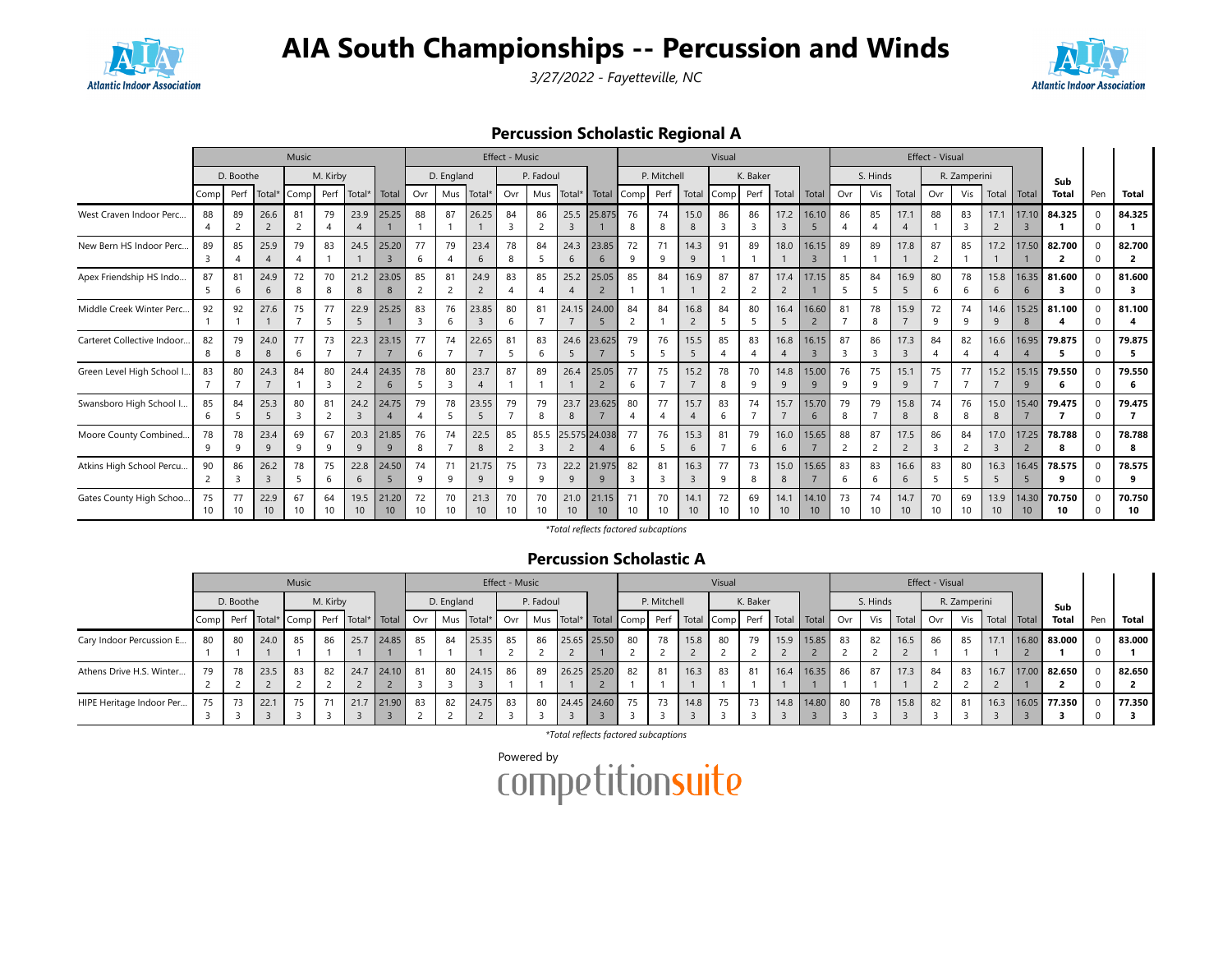





Percussion Scholastic Regional A

|                             | Music<br>M. Kirby<br>D. Boothe |          |                        |                |                      |                         |                          |          |                      |                        | Effect - Music |                      |            |               |         |             |                         | Visual   |                                |                                     |                          |                      |                   |                        | Effect - Visual                |              |                         |                          |              |     |                          |
|-----------------------------|--------------------------------|----------|------------------------|----------------|----------------------|-------------------------|--------------------------|----------|----------------------|------------------------|----------------|----------------------|------------|---------------|---------|-------------|-------------------------|----------|--------------------------------|-------------------------------------|--------------------------|----------------------|-------------------|------------------------|--------------------------------|--------------|-------------------------|--------------------------|--------------|-----|--------------------------|
|                             |                                |          |                        |                |                      |                         |                          |          | D. England           |                        |                | P. Fadoul            |            |               |         | P. Mitchell |                         |          | K. Baker                       |                                     |                          |                      | S. Hinds          |                        |                                | R. Zamperini |                         |                          | Sub          |     |                          |
|                             | Comp                           | Perf     | Total*                 | Comp           |                      | Perf Total*             | Total                    | Ovr      |                      | Mus Total*             | Ovr            |                      | Mus Total* | Total         | Comp    | Perf        | Total                   | Comp     | Perf                           | Total                               | Total                    | Ovr                  | Vis               | Total                  | Ovr                            | Vis          |                         | Total Total              | <b>Total</b> | Pen | <b>Total</b>             |
| West Craven Indoor Perc     | 88                             | 89<br>ി  | 26.6<br>$\overline{2}$ | 81             | 79                   | 23.9                    | 25.25                    | 88       | 87                   | 26.25                  | 84             | 86<br>$\overline{2}$ | 25.5       | 25.875        | 76      | 74          | 15.0<br>8               | 86<br>3  | 86<br>$\mathbf{R}$             | 17.2<br>$\overline{3}$              | 16.10                    | 86                   | 85                | 17.1                   | 88                             | 83           | 17.1<br>$\overline{2}$  | 17.10                    | 84.325       |     | 84.325                   |
| New Bern HS Indoor Perc.    | 89                             | 85       | 25.9                   | 79             | 83                   | 24.5                    | 25.20                    | 77<br>6  | 79<br>$\overline{A}$ | 23.4<br>6              | 78<br>8        | 84                   | 24.3<br>6  | 23.85<br>6    | 72<br>q | 71<br>9     | 14.3<br>9               | 91       | 89                             | 18.0                                | 16.15                    | 89                   | 89                | 17.8                   | 87<br>$\overline{\phantom{0}}$ | 85           | 17.2                    | 17.50                    | 82.700<br>2  |     | 82.700<br>$\overline{2}$ |
| Apex Friendship HS Indo     | 87                             | 81<br>6  | 24.9<br>6              | 72<br>8        | 70<br>8              | 21.2<br>8               | 23.05                    | 85       | 81<br>2              | 24.9<br>$\overline{2}$ | 83             | 85                   | 25.2       | 25.05         | 85      | 84          | 16.9                    | 87<br>2  | 87<br>2                        | 17.4<br>$\overline{2}$              | 17.15                    | 85                   | 84<br>5           | 16.9<br>5              | 80<br>6                        | 78           | 15.8<br>6               | 16.35<br>6               | 81.600<br>3  |     | 81.600                   |
| Middle Creek Winter Perc    | 92                             | 92       | 27.6                   | 75             | 77<br>5              | 22.9                    | 25.25                    | 83       | 76<br>6              | 23.85<br>3             | 80             | 81                   | 24.15      | 24.00         | 84      | 84          | 16.8                    | 84       | 80                             | 16.4<br>5                           | 16.60                    | 81                   | 78<br>8           | 15.9                   | 72<br>q                        | 74           | 14.6                    | 15.25                    | 81.100       |     | 81.100                   |
| Carteret Collective Indoor. | 82                             | 79       | 24.0<br>8              | 77<br>6        | 73                   | 22.3                    | 23.15                    | 77<br>6  | 74                   | 22.65                  | 81             | 83<br>-6             | 24.6       | 23.625        | 79      | 76          | 15.5<br>5               | 85       | 83<br>$\boldsymbol{\varDelta}$ | 16.8<br>$\boldsymbol{\vartriangle}$ | 16.15                    | 87                   | 86<br>3           | 17.3<br>$\mathbf{R}$   | 84                             | 82           | 16.6                    | 16.95                    | 79.875<br>-5 |     | 79.875<br>5.             |
| Green Level High School I.  | 83                             | 80       | 24.3                   | 84             | 80<br>$\overline{3}$ | 24.4<br>$\overline{2}$  | 24.35<br>6               | 78<br>5  | 80<br>$\mathbf{R}$   | 23.7<br>$\overline{A}$ | 87             | 89                   | 26.4       | 25.05<br>2    | 77<br>6 | 75          | 15.2                    | 78<br>8  | 70<br>$\mathbf{Q}$             | 14.8<br>9                           | 15.00<br>9               | 76<br>q              | 75<br>$\mathsf q$ | 15.1<br>q              | 75                             |              | 15.2                    | 15.15<br>9               | 79.550<br>6  |     | 79.550<br>6              |
| Swansboro High School I.    | 85<br>6                        | 84<br>-5 | 25.3<br>5              | 80<br>3        | 81<br>$\overline{2}$ | 24.2<br>$\overline{3}$  | 24.75                    | 79<br>4  | 78<br>5              | 23.55<br>5             | 79             | 79<br>8              | 23.7<br>8  | 23.625        | 80<br>4 | 77          | 15.7                    | 83<br>6  | 74                             | 15.7<br>$\overline{7}$              | 15.70<br>6               | 79<br>8              | 79                | 15.8<br>8              | 74<br>8                        | 76<br>8      | 15.0<br>8               | 15.40                    | 79.475<br>-7 | 0   | 79.475<br>$\overline{7}$ |
| Moore County Combined.      | 78<br>9                        | 78<br>O  | 23.4<br>$\mathsf{Q}$   | 69<br>$\alpha$ | 67<br>9              | 20.3<br>9               | 21.85<br>$\mathsf{Q}$    | 76<br>8  | 74                   | 22.5<br>8              | 85<br>2        | 85.5                 |            | 25.575 24.038 | 77<br>6 | 76          | 15.3<br>6               | 81       | 79<br>6                        | 16.0<br>6                           | 15.65                    | 88<br>$\overline{2}$ | 87<br>2           | 17.5<br>$\overline{2}$ | 86<br>$\mathbf{R}$             | 84           | 17.0                    | 17.25                    | 78.788<br>8  |     | 78.788<br>8              |
| Atkins High School Percu    | 90                             | 86       | 26.2<br>3              | 78             | 75<br>6              | 22.8<br>6               | 24.50                    | 74<br>9  | 71<br>9              | 21.75<br>9             | 75<br>9        | 73<br>9              | 22.2<br>9  | 21.975        | 82      | 81<br>3     | 16.3<br>3               | 77<br>9  | 73<br>8                        | 15.0<br>8                           | 15.65                    | 83<br>6              | 83<br>6           | 16.6<br>6              | 83<br>5                        | 80           | 16.3<br>5               | 16.45<br>5               | 78.575<br>9  |     | 78.575<br>9              |
| Gates County High Schoo.    | 75<br>10                       | 77<br>10 | 22.9<br>10             | 67<br>10       | 64<br>10             | 19.5<br>10 <sup>°</sup> | 21.20<br>10 <sup>°</sup> | 72<br>10 | 70<br>10             | 21.3<br>10             | 70<br>10       | 70<br>10             | 21.0<br>10 | 21.15<br>10   | 10      | 70<br>10    | 14.1<br>10 <sup>°</sup> | 72<br>10 | 69<br>10                       | 14.1<br>10 <sup>°</sup>             | 14.10<br>10 <sup>°</sup> | 73<br>10             | 74<br>10          | 14.7<br>10             | 70<br>10                       | 69<br>10     | 13.9<br>10 <sup>°</sup> | 14.30<br>10 <sup>°</sup> | 70.750<br>10 |     | 70.750<br>10             |

\*Total reflects factored subcaptions

### Percussion Scholastic A

|                          |    |           |      | Music |          |      |          |    |            |                                                                                                                                                  | Effect - Music |           |                |    |             |      | Visual |          |      |            |      |          |                   | Effect - Visual |              |                 |            |                   |     |              |
|--------------------------|----|-----------|------|-------|----------|------|----------|----|------------|--------------------------------------------------------------------------------------------------------------------------------------------------|----------------|-----------|----------------|----|-------------|------|--------|----------|------|------------|------|----------|-------------------|-----------------|--------------|-----------------|------------|-------------------|-----|--------------|
|                          |    | D. Boothe |      |       | M. Kirby |      |          |    | D. England |                                                                                                                                                  |                | P. Fadoul |                |    | P. Mitchell |      |        | K. Baker |      |            |      | S. Hinds |                   |                 | R. Zamperini |                 |            | Sub               |     |              |
|                          |    |           |      |       |          |      |          |    |            | Comp Perf Total* Comp Perf Total* Total* Total Ovr   Mus Total*   Ovr   Mus Total*   Total Comp   Perf   Total Comp   Perf   Total   Total   Ovr |                |           |                |    |             |      |        |          |      |            |      |          | Vis   Total   Ovr |                 |              | Vis Total Total |            | Total             | Pen | <b>Total</b> |
| Cary Indoor Percussion E | 80 | 80        | 24.0 | 85    | 86       | 25.7 | 24.85    | 85 | 84         | 25.35                                                                                                                                            | 85             | 86        | 25.65 25.50 80 |    | 78          | 15.8 | 80     |          | 15.9 | 15.85      | - 83 | 82       | 16.5              | 86              | 85           | 17.1            |            | 16.80 83.000      |     | 83.000       |
| Athens Drive H.S. Winter | 79 | 78        | 23.5 | 83    | 82       | 24.7 | 24.10    | 81 | 80         | 24.15                                                                                                                                            | 86             | 89        | 26.25 25.20    | 82 | 81          | 16.3 | 83     | 81       | 16.4 | 16.35      | - 86 | 87       | 17.3              | 84              | 83           |                 |            | 16.7 17.00 82.650 |     | 82.650       |
| HIPE Heritage Indoor Per | 75 | 73        | 22.1 | 75    | 71       | 21.7 | 21.90 83 |    | 82         | 24.75                                                                                                                                            | 83             | 80        | 24.45 24.60 75 |    | 73          | 14.8 | 75     |          |      | 14.8 14.80 | 80   | 78       | 15.8              | 82              | 81           |                 | 16.3 16.05 | 77.350            |     | 77.350       |

\*Total reflects factored subcaptions

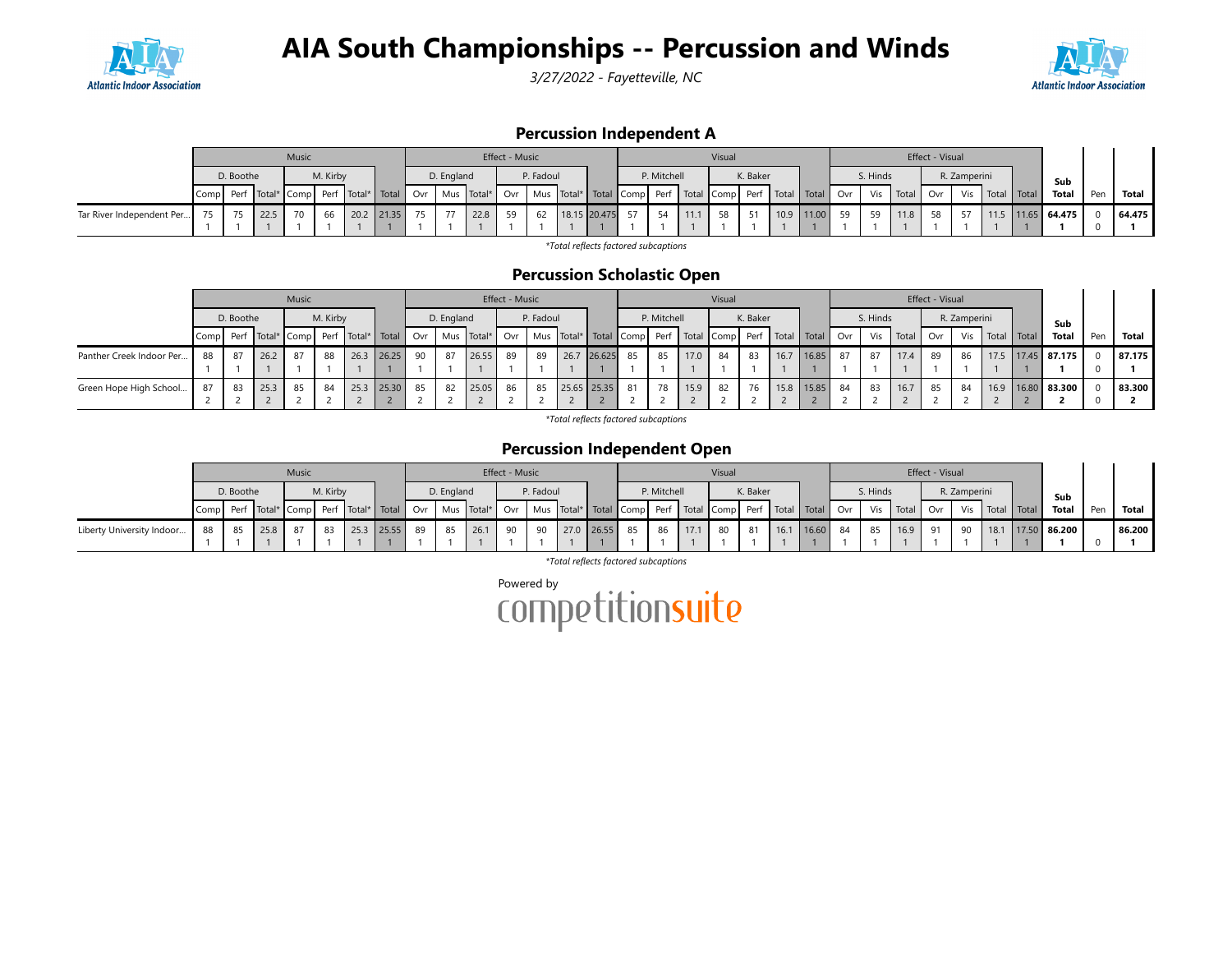

3/27/2022 - Fayetteville, NC



### Percussion Independent A

|                           |                                                                                                                                                                                                                              |    |      | Music |    |  |            |            |  |      | Effect - Music |    |              |             |      |      | Visual   |    |                  |  |      | Effect - Visual |     |       |                         |  |        |
|---------------------------|------------------------------------------------------------------------------------------------------------------------------------------------------------------------------------------------------------------------------|----|------|-------|----|--|------------|------------|--|------|----------------|----|--------------|-------------|------|------|----------|----|------------------|--|------|-----------------|-----|-------|-------------------------|--|--------|
|                           | M. Kirby<br>D. Boothe                                                                                                                                                                                                        |    |      |       |    |  |            | D. England |  |      | P. Fadoul      |    |              | P. Mitchell |      |      | K. Baker |    | S. Hinds         |  |      | R. Zamperini    |     | Sub   |                         |  |        |
|                           | Comp  Perf  Total*  Comp  Perf  Total*   Total   Ovr   Mus  Total*   Ovr   Mus  Total*   Total   Comp  Perf   Total   Comp  Perf   Total   Total   Total   Ovr   Vis   Total   Ovr   Vis   Total   Ovr   Vis   Total   Total |    |      |       |    |  |            |            |  |      |                |    |              |             |      |      |          |    |                  |  |      | Total           | Pen | Total |                         |  |        |
| Tar River Independent Per | 75                                                                                                                                                                                                                           | 75 | 22.5 | 70    | 66 |  | 20.2 21.35 | 75         |  | 22.8 | 59             | 62 | 18.15 20.475 | 57          | - 54 | 11.1 | 58 I     | 51 | 10.9 11.00 59 59 |  | 11.8 | 58              | 57  |       | $11.5$   11.65   64.475 |  | 64.475 |
|                           |                                                                                                                                                                                                                              |    |      |       |    |  |            |            |  |      |                |    |              |             |      |      |          |    |                  |  |      |                 |     |       |                         |  |        |

\*Total reflects factored subcaptions

### Percussion Scholastic Open

|                          |      |           |      | Music |          |      |                                                                                                         |    |            |       | Effect - Music |           |      |             |      |             |      | Visual |          |                            |            |      |          |           | Effect - Visual |              |             |                       |     |        |
|--------------------------|------|-----------|------|-------|----------|------|---------------------------------------------------------------------------------------------------------|----|------------|-------|----------------|-----------|------|-------------|------|-------------|------|--------|----------|----------------------------|------------|------|----------|-----------|-----------------|--------------|-------------|-----------------------|-----|--------|
|                          |      | D. Boothe |      |       | M. Kirby |      |                                                                                                         |    | D. England |       |                | P. Fadoul |      |             |      | P. Mitchell |      |        | K. Baker |                            |            |      | S. Hinds |           |                 | R. Zamperini |             | Sub                   |     |        |
|                          | Comp |           |      |       |          |      | Perf Total* Comp Perf Total* Total   Ovr   Mus Total*   Ovr   Mus Total*   Total Comp Perf   Total Comp |    |            |       |                |           |      |             |      |             |      |        |          | Perf   Total   Total   Ovr |            |      |          | Vis Total | l Ovr           | <b>Vis</b>   | Total Total | <b>Total</b>          | Pen | Total  |
| Panther Creek Indoor Per | 88   | 87        | 26.2 | 87    | 88       | 26.3 | 26.25                                                                                                   | 90 | 87         | 26.55 | 89             | 89        | 26.7 | 26.625      | - 85 | 85          | 17.0 | 84     | 83       | 16.7                       | 16.85      | - 87 | -87      | 17.4      | 89              | 86           |             | 17.5   17.45   87.175 |     | 87.175 |
|                          |      |           |      |       |          |      |                                                                                                         |    |            |       |                |           |      |             |      |             |      |        |          |                            |            |      |          |           |                 |              |             |                       |     |        |
| Green Hope High School   | 87   | 83        | 25.3 | 85    | 84       |      | 25.3 25.30                                                                                              | 85 | 82         | 25.05 | 86             | 85        |      | 25.65 25.35 | 81   | 78          | 15.9 | 82     | 76       |                            | 15.8 15.85 | - 84 | 83       | 16.7      | 85              | 84           |             | 16.9 16.80 83.300     |     | 83.300 |
|                          |      |           |      |       |          |      |                                                                                                         |    |            |       |                |           |      |             |      |             |      |        |          |                            |            |      |          |           |                 |              |             |                       |     |        |

\*Total reflects factored subcaptions

### Percussion Independent Open

|                           |                                                                                                                                                                           |    |      | <b>Music</b> |    |  |               |  |         | Effect - Music |  |  |                  |    |      | Visual   |    |            |                           |    |      | Effect - Visual |           |       |                |        |
|---------------------------|---------------------------------------------------------------------------------------------------------------------------------------------------------------------------|----|------|--------------|----|--|---------------|--|---------|----------------|--|--|------------------|----|------|----------|----|------------|---------------------------|----|------|-----------------|-----------|-------|----------------|--------|
|                           | M. Kirby<br>D. Boothe                                                                                                                                                     |    |      |              |    |  | D. England    |  |         | P. Fadoul      |  |  | P. Mitchell      |    |      | K. Baker |    |            | S. Hinds                  |    |      | R. Zamperini    |           | Sub   |                |        |
|                           | Perf   Total*   Comp   Perf   Total*   Total   Ovr   Mus   Total*   Ovr   Mus   Total*   Total   Comp   Perf   Total   Comp   Perf   Total   Total   Ovr   Vis  <br>Compl |    |      |              |    |  |               |  |         |                |  |  |                  |    |      |          |    |            | Total Ovr Vis Total Total |    |      |                 | Total Pen | Total |                |        |
| Liberty University Indoor | 88                                                                                                                                                                        | 85 | 25.8 | 87           | 83 |  | 25.3 25.55 89 |  | 85 26.1 | 90 I           |  |  | 90 27.0 26.55 85 | 86 | 17.1 | 80 l     | 81 | 16.1 16.60 | 84                        | 85 | 16.9 | 91              | 90        | 18.1  | $17.50$ 86.200 | 86.200 |
|                           |                                                                                                                                                                           |    |      |              |    |  |               |  |         |                |  |  |                  |    |      |          |    |            |                           |    |      |                 |           |       |                |        |

\*Total reflects factored subcaptions

Powered by<br>COMPetitionsuite